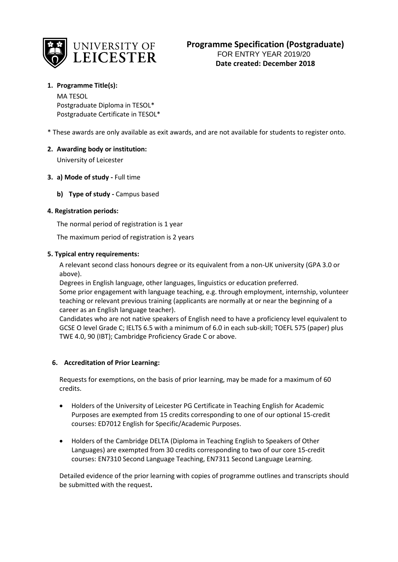

# **Programme Specification (Postgraduate)** FOR ENTRY YEAR 2019/20 **Date created: December 2018**

# **1. Programme Title(s):**

MA TESOL Postgraduate Diploma in TESOL\* Postgraduate Certificate in TESOL\*

\* These awards are only available as exit awards, and are not available for students to register onto.

### **2. Awarding body or institution:**

University of Leicester

### **3. a) Mode of study -** Full time

**b) Type of study -** Campus based

### **4. Registration periods:**

The normal period of registration is 1 year

The maximum period of registration is 2 years

### **5. Typical entry requirements:**

A relevant second class honours degree or its equivalent from a non-UK university (GPA 3.0 or above).

Degrees in English language, other languages, linguistics or education preferred. Some prior engagement with language teaching, e.g. through employment, internship, volunteer teaching or relevant previous training (applicants are normally at or near the beginning of a career as an English language teacher).

Candidates who are not native speakers of English need to have a proficiency level equivalent to GCSE O level Grade C; IELTS 6.5 with a minimum of 6.0 in each sub-skill; TOEFL 575 (paper) plus TWE 4.0, 90 (IBT); Cambridge Proficiency Grade C or above.

### **6. Accreditation of Prior Learning:**

Requests for exemptions, on the basis of prior learning, may be made for a maximum of 60 credits.

- Holders of the University of Leicester PG Certificate in Teaching English for Academic Purposes are exempted from 15 credits corresponding to one of our optional 15-credit courses: ED7012 English for Specific/Academic Purposes.
- Holders of the Cambridge DELTA (Diploma in Teaching English to Speakers of Other Languages) are exempted from 30 credits corresponding to two of our core 15-credit courses: EN7310 Second Language Teaching, EN7311 Second Language Learning.

Detailed evidence of the prior learning with copies of programme outlines and transcripts should be submitted with the request**.**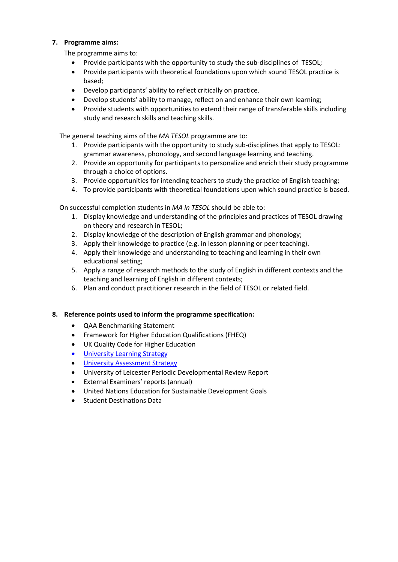### **7. Programme aims:**

The programme aims to:

- Provide participants with the opportunity to study the sub-disciplines of TESOL;
- Provide participants with theoretical foundations upon which sound TESOL practice is based;
- Develop participants' ability to reflect critically on practice.
- Develop students' ability to manage, reflect on and enhance their own learning;
- Provide students with opportunities to extend their range of transferable skills including study and research skills and teaching skills.

The general teaching aims of the *MA TESOL* programme are to:

- 1. Provide participants with the opportunity to study sub-disciplines that apply to TESOL: grammar awareness, phonology, and second language learning and teaching.
- 2. Provide an opportunity for participants to personalize and enrich their study programme through a choice of options.
- 3. Provide opportunities for intending teachers to study the practice of English teaching;
- 4. To provide participants with theoretical foundations upon which sound practice is based.

On successful completion students in *MA in TESOL* should be able to:

- 1. Display knowledge and understanding of the principles and practices of TESOL drawing on theory and research in TESOL;
- 2. Display knowledge of the description of English grammar and phonology;
- 3. Apply their knowledge to practice (e.g. in lesson planning or peer teaching).
- 4. Apply their knowledge and understanding to teaching and learning in their own educational setting;
- 5. Apply a range of research methods to the study of English in different contexts and the teaching and learning of English in different contexts;
- 6. Plan and conduct practitioner research in the field of TESOL or related field.

### **8. Reference points used to inform the programme specification:**

- QAA Benchmarking Statement
- Framework for Higher Education Qualifications (FHEQ)
- UK Quality Code for Higher Education
- University Learnin[g Strategy](https://www2.le.ac.uk/offices/sas2/quality/learnteach)
- [University Assessment Strategy](https://www2.le.ac.uk/offices/sas2/quality/learnteach)
- University of Leicester Periodic Developmental Review Report
- External Examiners' reports (annual)
- United Nations Education for Sustainable Development Goals
- Student Destinations Data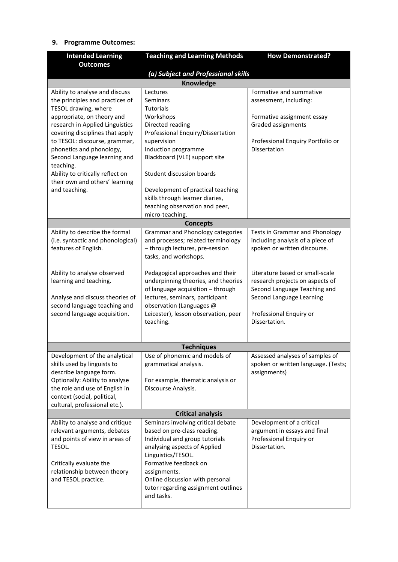# **9. Programme Outcomes:**

| <b>Intended Learning</b>                                            | <b>Teaching and Learning Methods</b>                                          | <b>How Demonstrated?</b>                                           |  |  |  |  |  |
|---------------------------------------------------------------------|-------------------------------------------------------------------------------|--------------------------------------------------------------------|--|--|--|--|--|
| <b>Outcomes</b>                                                     |                                                                               |                                                                    |  |  |  |  |  |
| (a) Subject and Professional skills                                 |                                                                               |                                                                    |  |  |  |  |  |
| Knowledge                                                           |                                                                               |                                                                    |  |  |  |  |  |
| Ability to analyse and discuss                                      | Lectures<br>Seminars                                                          | Formative and summative                                            |  |  |  |  |  |
| the principles and practices of<br>TESOL drawing, where             | <b>Tutorials</b>                                                              | assessment, including:                                             |  |  |  |  |  |
| appropriate, on theory and                                          | Workshops                                                                     | Formative assignment essay                                         |  |  |  |  |  |
| research in Applied Linguistics                                     | Directed reading                                                              | Graded assignments                                                 |  |  |  |  |  |
| covering disciplines that apply                                     | Professional Enquiry/Dissertation                                             |                                                                    |  |  |  |  |  |
| to TESOL: discourse, grammar,                                       | supervision                                                                   | Professional Enquiry Portfolio or                                  |  |  |  |  |  |
| phonetics and phonology,                                            | Induction programme                                                           | Dissertation                                                       |  |  |  |  |  |
| Second Language learning and                                        | Blackboard (VLE) support site                                                 |                                                                    |  |  |  |  |  |
| teaching.                                                           |                                                                               |                                                                    |  |  |  |  |  |
| Ability to critically reflect on                                    | Student discussion boards                                                     |                                                                    |  |  |  |  |  |
| their own and others' learning                                      |                                                                               |                                                                    |  |  |  |  |  |
| and teaching.                                                       | Development of practical teaching                                             |                                                                    |  |  |  |  |  |
|                                                                     | skills through learner diaries,                                               |                                                                    |  |  |  |  |  |
|                                                                     | teaching observation and peer,                                                |                                                                    |  |  |  |  |  |
|                                                                     | micro-teaching.                                                               |                                                                    |  |  |  |  |  |
|                                                                     | <b>Concepts</b>                                                               |                                                                    |  |  |  |  |  |
| Ability to describe the formal<br>(i.e. syntactic and phonological) | <b>Grammar and Phonology categories</b><br>and processes; related terminology | Tests in Grammar and Phonology<br>including analysis of a piece of |  |  |  |  |  |
| features of English.                                                | - through lectures, pre-session                                               | spoken or written discourse.                                       |  |  |  |  |  |
|                                                                     | tasks, and workshops.                                                         |                                                                    |  |  |  |  |  |
|                                                                     |                                                                               |                                                                    |  |  |  |  |  |
| Ability to analyse observed                                         | Pedagogical approaches and their                                              | Literature based or small-scale                                    |  |  |  |  |  |
| learning and teaching.                                              | underpinning theories, and theories                                           | research projects on aspects of                                    |  |  |  |  |  |
|                                                                     | of language acquisition - through                                             | Second Language Teaching and                                       |  |  |  |  |  |
| Analyse and discuss theories of                                     | lectures, seminars, participant                                               | Second Language Learning                                           |  |  |  |  |  |
| second language teaching and                                        | observation (Languages @                                                      |                                                                    |  |  |  |  |  |
| second language acquisition.                                        | Leicester), lesson observation, peer                                          | Professional Enquiry or                                            |  |  |  |  |  |
|                                                                     | teaching.                                                                     | Dissertation.                                                      |  |  |  |  |  |
|                                                                     |                                                                               |                                                                    |  |  |  |  |  |
|                                                                     | <b>Techniques</b>                                                             |                                                                    |  |  |  |  |  |
| Development of the analytical                                       | Use of phonemic and models of                                                 | Assessed analyses of samples of                                    |  |  |  |  |  |
| skills used by linguists to                                         | grammatical analysis.                                                         | spoken or written language. (Tests;                                |  |  |  |  |  |
| describe language form.                                             |                                                                               | assignments)                                                       |  |  |  |  |  |
| Optionally: Ability to analyse                                      | For example, thematic analysis or                                             |                                                                    |  |  |  |  |  |
| the role and use of English in                                      | Discourse Analysis.                                                           |                                                                    |  |  |  |  |  |
| context (social, political,                                         |                                                                               |                                                                    |  |  |  |  |  |
| cultural, professional etc.).                                       |                                                                               |                                                                    |  |  |  |  |  |
|                                                                     | <b>Critical analysis</b>                                                      |                                                                    |  |  |  |  |  |
| Ability to analyse and critique                                     | Seminars involving critical debate                                            | Development of a critical                                          |  |  |  |  |  |
| relevant arguments, debates                                         | based on pre-class reading.                                                   | argument in essays and final                                       |  |  |  |  |  |
| and points of view in areas of                                      | Individual and group tutorials                                                | Professional Enquiry or                                            |  |  |  |  |  |
| TESOL.                                                              | analysing aspects of Applied                                                  | Dissertation.                                                      |  |  |  |  |  |
|                                                                     | Linguistics/TESOL.                                                            |                                                                    |  |  |  |  |  |
| Critically evaluate the                                             | Formative feedback on                                                         |                                                                    |  |  |  |  |  |
| relationship between theory                                         | assignments.                                                                  |                                                                    |  |  |  |  |  |
| and TESOL practice.                                                 | Online discussion with personal                                               |                                                                    |  |  |  |  |  |
|                                                                     | tutor regarding assignment outlines<br>and tasks.                             |                                                                    |  |  |  |  |  |
|                                                                     |                                                                               |                                                                    |  |  |  |  |  |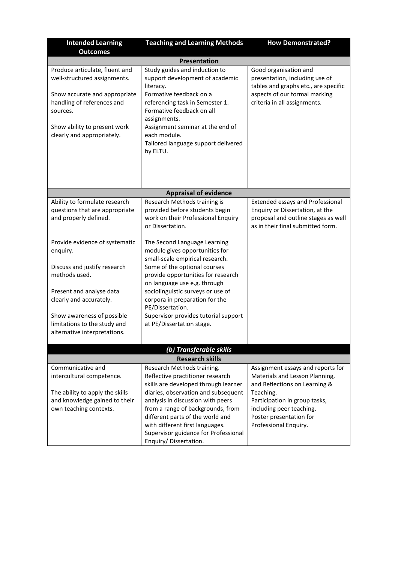| <b>Intended Learning</b>                                                                                                                                                                                                                                                     | <b>Teaching and Learning Methods</b>                                                                                                                                                                                                                                                                                                                                                                                                                                   | <b>How Demonstrated?</b>                                                                                                                                                                      |  |  |  |
|------------------------------------------------------------------------------------------------------------------------------------------------------------------------------------------------------------------------------------------------------------------------------|------------------------------------------------------------------------------------------------------------------------------------------------------------------------------------------------------------------------------------------------------------------------------------------------------------------------------------------------------------------------------------------------------------------------------------------------------------------------|-----------------------------------------------------------------------------------------------------------------------------------------------------------------------------------------------|--|--|--|
| <b>Outcomes</b><br>Presentation                                                                                                                                                                                                                                              |                                                                                                                                                                                                                                                                                                                                                                                                                                                                        |                                                                                                                                                                                               |  |  |  |
|                                                                                                                                                                                                                                                                              |                                                                                                                                                                                                                                                                                                                                                                                                                                                                        |                                                                                                                                                                                               |  |  |  |
| Produce articulate, fluent and<br>well-structured assignments.<br>Show accurate and appropriate<br>handling of references and<br>sources.<br>Show ability to present work<br>clearly and appropriately.                                                                      | Study guides and induction to<br>support development of academic<br>literacy.<br>Formative feedback on a<br>referencing task in Semester 1.<br>Formative feedback on all<br>assignments.<br>Assignment seminar at the end of<br>each module.<br>Tailored language support delivered<br>by ELTU.                                                                                                                                                                        | Good organisation and<br>presentation, including use of<br>tables and graphs etc., are specific<br>aspects of our formal marking<br>criteria in all assignments.                              |  |  |  |
|                                                                                                                                                                                                                                                                              |                                                                                                                                                                                                                                                                                                                                                                                                                                                                        |                                                                                                                                                                                               |  |  |  |
|                                                                                                                                                                                                                                                                              | <b>Appraisal of evidence</b>                                                                                                                                                                                                                                                                                                                                                                                                                                           |                                                                                                                                                                                               |  |  |  |
| Ability to formulate research<br>questions that are appropriate<br>and properly defined.<br>Provide evidence of systematic<br>enquiry.<br>Discuss and justify research<br>methods used.<br>Present and analyse data<br>clearly and accurately.<br>Show awareness of possible | Research Methods training is<br>provided before students begin<br>work on their Professional Enquiry<br>or Dissertation.<br>The Second Language Learning<br>module gives opportunities for<br>small-scale empirical research.<br>Some of the optional courses<br>provide opportunities for research<br>on language use e.g. through<br>sociolinguistic surveys or use of<br>corpora in preparation for the<br>PE/Dissertation.<br>Supervisor provides tutorial support | <b>Extended essays and Professional</b><br>Enquiry or Dissertation, at the<br>proposal and outline stages as well<br>as in their final submitted form.                                        |  |  |  |
| limitations to the study and                                                                                                                                                                                                                                                 | at PE/Dissertation stage.                                                                                                                                                                                                                                                                                                                                                                                                                                              |                                                                                                                                                                                               |  |  |  |
| alternative interpretations.                                                                                                                                                                                                                                                 |                                                                                                                                                                                                                                                                                                                                                                                                                                                                        |                                                                                                                                                                                               |  |  |  |
|                                                                                                                                                                                                                                                                              | (b) Transferable skills                                                                                                                                                                                                                                                                                                                                                                                                                                                |                                                                                                                                                                                               |  |  |  |
|                                                                                                                                                                                                                                                                              | <b>Research skills</b>                                                                                                                                                                                                                                                                                                                                                                                                                                                 |                                                                                                                                                                                               |  |  |  |
| Communicative and                                                                                                                                                                                                                                                            | Research Methods training.                                                                                                                                                                                                                                                                                                                                                                                                                                             | Assignment essays and reports for                                                                                                                                                             |  |  |  |
| intercultural competence.<br>The ability to apply the skills<br>and knowledge gained to their<br>own teaching contexts.                                                                                                                                                      | Reflective practitioner research<br>skills are developed through learner<br>diaries, observation and subsequent<br>analysis in discussion with peers<br>from a range of backgrounds, from<br>different parts of the world and<br>with different first languages.<br>Supervisor guidance for Professional<br>Enquiry/Dissertation.                                                                                                                                      | Materials and Lesson Planning,<br>and Reflections on Learning &<br>Teaching.<br>Participation in group tasks,<br>including peer teaching.<br>Poster presentation for<br>Professional Enquiry. |  |  |  |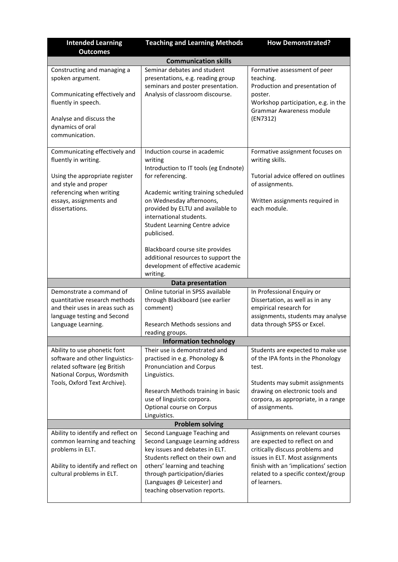| <b>Intended Learning</b>                                                                                                                                                                 | <b>Teaching and Learning Methods</b>                                                                                                                                                                                                                                                                                                                                                                           | <b>How Demonstrated?</b>                                                                                                                                                                                                                |  |  |  |  |
|------------------------------------------------------------------------------------------------------------------------------------------------------------------------------------------|----------------------------------------------------------------------------------------------------------------------------------------------------------------------------------------------------------------------------------------------------------------------------------------------------------------------------------------------------------------------------------------------------------------|-----------------------------------------------------------------------------------------------------------------------------------------------------------------------------------------------------------------------------------------|--|--|--|--|
| <b>Outcomes</b>                                                                                                                                                                          |                                                                                                                                                                                                                                                                                                                                                                                                                |                                                                                                                                                                                                                                         |  |  |  |  |
| <b>Communication skills</b>                                                                                                                                                              |                                                                                                                                                                                                                                                                                                                                                                                                                |                                                                                                                                                                                                                                         |  |  |  |  |
| Constructing and managing a<br>spoken argument.<br>Communicating effectively and<br>fluently in speech.<br>Analyse and discuss the<br>dynamics of oral<br>communication.                 | Seminar debates and student<br>presentations, e.g. reading group<br>seminars and poster presentation.<br>Analysis of classroom discourse.                                                                                                                                                                                                                                                                      | Formative assessment of peer<br>teaching.<br>Production and presentation of<br>poster.<br>Workshop participation, e.g. in the<br>Grammar Awareness module<br>(EN7312)                                                                   |  |  |  |  |
| Communicating effectively and<br>fluently in writing.<br>Using the appropriate register<br>and style and proper<br>referencing when writing<br>essays, assignments and<br>dissertations. | Induction course in academic<br>writing<br>Introduction to IT tools (eg Endnote)<br>for referencing.<br>Academic writing training scheduled<br>on Wednesday afternoons,<br>provided by ELTU and available to<br>international students.<br><b>Student Learning Centre advice</b><br>publicised.<br>Blackboard course site provides<br>additional resources to support the<br>development of effective academic | Formative assignment focuses on<br>writing skills.<br>Tutorial advice offered on outlines<br>of assignments.<br>Written assignments required in<br>each module.                                                                         |  |  |  |  |
|                                                                                                                                                                                          | writing.                                                                                                                                                                                                                                                                                                                                                                                                       |                                                                                                                                                                                                                                         |  |  |  |  |
| Demonstrate a command of<br>quantitative research methods<br>and their uses in areas such as<br>language testing and Second<br>Language Learning.                                        | Data presentation<br>Online tutorial in SPSS available<br>through Blackboard (see earlier<br>comment)<br>Research Methods sessions and<br>reading groups.                                                                                                                                                                                                                                                      | In Professional Enquiry or<br>Dissertation, as well as in any<br>empirical research for<br>assignments, students may analyse<br>data through SPSS or Excel.                                                                             |  |  |  |  |
|                                                                                                                                                                                          | <b>Information technology</b>                                                                                                                                                                                                                                                                                                                                                                                  |                                                                                                                                                                                                                                         |  |  |  |  |
| Ability to use phonetic font<br>software and other linguistics-<br>related software (eg British<br>National Corpus, Wordsmith<br>Tools, Oxford Text Archive).                            | Their use is demonstrated and<br>practised in e.g. Phonology &<br>Pronunciation and Corpus<br>Linguistics.<br>Research Methods training in basic<br>use of linguistic corpora.<br>Optional course on Corpus                                                                                                                                                                                                    | Students are expected to make use<br>of the IPA fonts in the Phonology<br>test.<br>Students may submit assignments<br>drawing on electronic tools and<br>corpora, as appropriate, in a range<br>of assignments.                         |  |  |  |  |
|                                                                                                                                                                                          | Linguistics.                                                                                                                                                                                                                                                                                                                                                                                                   |                                                                                                                                                                                                                                         |  |  |  |  |
|                                                                                                                                                                                          | <b>Problem solving</b>                                                                                                                                                                                                                                                                                                                                                                                         |                                                                                                                                                                                                                                         |  |  |  |  |
| Ability to identify and reflect on<br>common learning and teaching<br>problems in ELT.<br>Ability to identify and reflect on<br>cultural problems in ELT.                                | Second Language Teaching and<br>Second Language Learning address<br>key issues and debates in ELT.<br>Students reflect on their own and<br>others' learning and teaching<br>through participation/diaries<br>(Languages @ Leicester) and<br>teaching observation reports.                                                                                                                                      | Assignments on relevant courses<br>are expected to reflect on and<br>critically discuss problems and<br>issues in ELT. Most assignments<br>finish with an 'implications' section<br>related to a specific context/group<br>of learners. |  |  |  |  |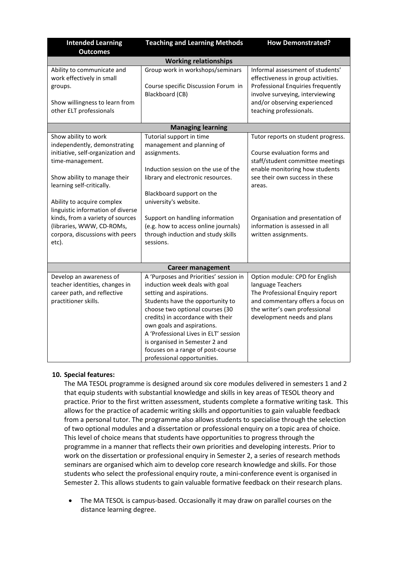| <b>Intended Learning</b><br><b>Outcomes</b>                                                                                                                                                                                                                                                                                                                | <b>Teaching and Learning Methods</b>                                                                                                                                                                                                                                                                                                                                                          | <b>How Demonstrated?</b>                                                                                                                                                                                                                                                          |  |  |  |  |
|------------------------------------------------------------------------------------------------------------------------------------------------------------------------------------------------------------------------------------------------------------------------------------------------------------------------------------------------------------|-----------------------------------------------------------------------------------------------------------------------------------------------------------------------------------------------------------------------------------------------------------------------------------------------------------------------------------------------------------------------------------------------|-----------------------------------------------------------------------------------------------------------------------------------------------------------------------------------------------------------------------------------------------------------------------------------|--|--|--|--|
| <b>Working relationships</b>                                                                                                                                                                                                                                                                                                                               |                                                                                                                                                                                                                                                                                                                                                                                               |                                                                                                                                                                                                                                                                                   |  |  |  |  |
| Ability to communicate and<br>work effectively in small<br>groups.<br>Show willingness to learn from<br>other ELT professionals                                                                                                                                                                                                                            | Group work in workshops/seminars<br>Course specific Discussion Forum in<br>Blackboard (CB)                                                                                                                                                                                                                                                                                                    | Informal assessment of students'<br>effectiveness in group activities.<br>Professional Enquiries frequently<br>involve surveying, interviewing<br>and/or observing experienced<br>teaching professionals.                                                                         |  |  |  |  |
|                                                                                                                                                                                                                                                                                                                                                            | <b>Managing learning</b>                                                                                                                                                                                                                                                                                                                                                                      |                                                                                                                                                                                                                                                                                   |  |  |  |  |
| Show ability to work<br>independently, demonstrating<br>initiative, self-organization and<br>time-management.<br>Show ability to manage their<br>learning self-critically.<br>Ability to acquire complex<br>linguistic information of diverse<br>kinds, from a variety of sources<br>(libraries, WWW, CD-ROMs,<br>corpora, discussions with peers<br>etc). | Tutorial support in time<br>management and planning of<br>assignments.<br>Induction session on the use of the<br>library and electronic resources.<br>Blackboard support on the<br>university's website.<br>Support on handling information<br>(e.g. how to access online journals)<br>through induction and study skills<br>sessions.                                                        | Tutor reports on student progress.<br>Course evaluation forms and<br>staff/student committee meetings<br>enable monitoring how students<br>see their own success in these<br>areas.<br>Organisation and presentation of<br>information is assessed in all<br>written assignments. |  |  |  |  |
|                                                                                                                                                                                                                                                                                                                                                            | <b>Career management</b>                                                                                                                                                                                                                                                                                                                                                                      |                                                                                                                                                                                                                                                                                   |  |  |  |  |
| Develop an awareness of<br>teacher identities, changes in<br>career path, and reflective<br>practitioner skills.                                                                                                                                                                                                                                           | A 'Purposes and Priorities' session in<br>induction week deals with goal<br>setting and aspirations.<br>Students have the opportunity to<br>choose two optional courses (30<br>credits) in accordance with their<br>own goals and aspirations.<br>A 'Professional Lives in ELT' session<br>is organised in Semester 2 and<br>focuses on a range of post-course<br>professional opportunities. | Option module: CPD for English<br>language Teachers<br>The Professional Enquiry report<br>and commentary offers a focus on<br>the writer's own professional<br>development needs and plans                                                                                        |  |  |  |  |

# **10. Special features:**

The MA TESOL programme is designed around six core modules delivered in semesters 1 and 2 that equip students with substantial knowledge and skills in key areas of TESOL theory and practice. Prior to the first written assessment, students complete a formative writing task. This allows for the practice of academic writing skills and opportunities to gain valuable feedback from a personal tutor. The programme also allows students to specialise through the selection of two optional modules and a dissertation or professional enquiry on a topic area of choice. This level of choice means that students have opportunities to progress through the programme in a manner that reflects their own priorities and developing interests. Prior to work on the dissertation or professional enquiry in Semester 2, a series of research methods seminars are organised which aim to develop core research knowledge and skills. For those students who select the professional enquiry route, a mini-conference event is organised in Semester 2. This allows students to gain valuable formative feedback on their research plans.

• The MA TESOL is campus-based. Occasionally it may draw on parallel courses on the distance learning degree.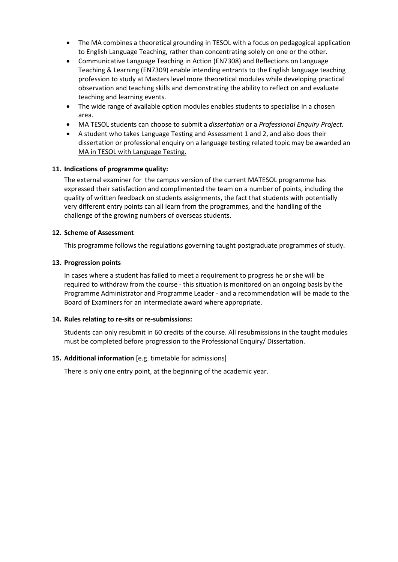- The MA combines a theoretical grounding in TESOL with a focus on pedagogical application to English Language Teaching, rather than concentrating solely on one or the other.
- Communicative Language Teaching in Action (EN7308) and Reflections on Language Teaching & Learning (EN7309) enable intending entrants to the English language teaching profession to study at Masters level more theoretical modules while developing practical observation and teaching skills and demonstrating the ability to reflect on and evaluate teaching and learning events.
- The wide range of available option modules enables students to specialise in a chosen area.
- MA TESOL students can choose to submit a *dissertation* or a *Professional Enquiry Project.*
- A student who takes Language Testing and Assessment 1 and 2, and also does their dissertation or professional enquiry on a language testing related topic may be awarded an MA in TESOL with Language Testing.

### **11. Indications of programme quality:**

The external examiner for the campus version of the current MATESOL programme has expressed their satisfaction and complimented the team on a number of points, including the quality of written feedback on students assignments, the fact that students with potentially very different entry points can all learn from the programmes, and the handling of the challenge of the growing numbers of overseas students.

### **12. Scheme of Assessment**

This programme follows the regulations governing taught postgraduate programmes of study.

### **13. Progression points**

In cases where a student has failed to meet a requirement to progress he or she will be required to withdraw from the course - this situation is monitored on an ongoing basis by the Programme Administrator and Programme Leader - and a recommendation will be made to the Board of Examiners for an intermediate award where appropriate.

### **14. Rules relating to re-sits or re-submissions:**

Students can only resubmit in 60 credits of the course. All resubmissions in the taught modules must be completed before progression to the Professional Enquiry/ Dissertation.

### **15. Additional information** [e.g. timetable for admissions]

There is only one entry point, at the beginning of the academic year.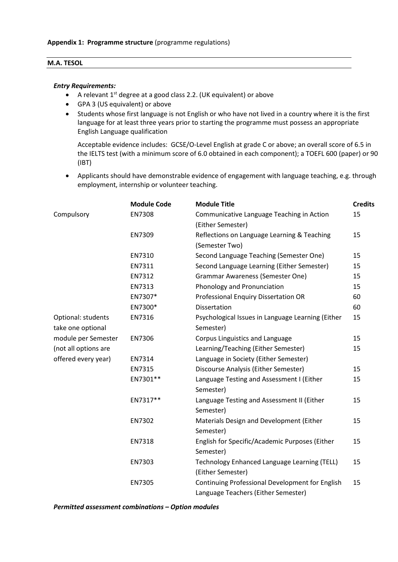### **M.A. TESOL**

#### *Entry Requirements:*

- A relevant 1<sup>st</sup> degree at a good class 2.2. (UK equivalent) or above
- GPA 3 (US equivalent) or above
- Students whose first language is not English or who have not lived in a country where it is the first language for at least three years prior to starting the programme must possess an appropriate English Language qualification

Acceptable evidence includes: GCSE/O-Level English at grade C or above; an overall score of 6.5 in the IELTS test (with a minimum score of 6.0 obtained in each component); a TOEFL 600 (paper) or 90 (IBT)

• Applicants should have demonstrable evidence of engagement with language teaching, e.g. through employment, internship or volunteer teaching.

|                      | <b>Module Code</b> | <b>Module Title</b>                               | <b>Credits</b> |
|----------------------|--------------------|---------------------------------------------------|----------------|
| Compulsory           | EN7308             | Communicative Language Teaching in Action         | 15             |
|                      |                    | (Either Semester)                                 |                |
|                      | EN7309             | Reflections on Language Learning & Teaching       | 15             |
|                      |                    | (Semester Two)                                    |                |
|                      | EN7310             | Second Language Teaching (Semester One)           | 15             |
|                      | EN7311             | Second Language Learning (Either Semester)        | 15             |
|                      | EN7312             | <b>Grammar Awareness (Semester One)</b>           | 15             |
|                      | EN7313             | Phonology and Pronunciation                       | 15             |
|                      | EN7307*            | Professional Enquiry Dissertation OR              | 60             |
|                      | EN7300*            | Dissertation                                      | 60             |
| Optional: students   | EN7316             | Psychological Issues in Language Learning (Either | 15             |
| take one optional    |                    | Semester)                                         |                |
| module per Semester  | EN7306             | Corpus Linguistics and Language                   | 15             |
| (not all options are |                    | Learning/Teaching (Either Semester)               | 15             |
| offered every year)  | EN7314             | Language in Society (Either Semester)             |                |
|                      | EN7315             | Discourse Analysis (Either Semester)              | 15             |
|                      | EN7301**           | Language Testing and Assessment I (Either         | 15             |
|                      |                    | Semester)                                         |                |
|                      | EN7317**           | Language Testing and Assessment II (Either        | 15             |
|                      |                    | Semester)                                         |                |
|                      | EN7302             | Materials Design and Development (Either          | 15             |
|                      |                    | Semester)                                         |                |
|                      | EN7318             | English for Specific/Academic Purposes (Either    | 15             |
|                      |                    | Semester)                                         |                |
|                      | EN7303             | Technology Enhanced Language Learning (TELL)      | 15             |
|                      |                    | (Either Semester)                                 |                |
|                      | EN7305             | Continuing Professional Development for English   | 15             |
|                      |                    | Language Teachers (Either Semester)               |                |

*Permitted assessment combinations – Option modules*